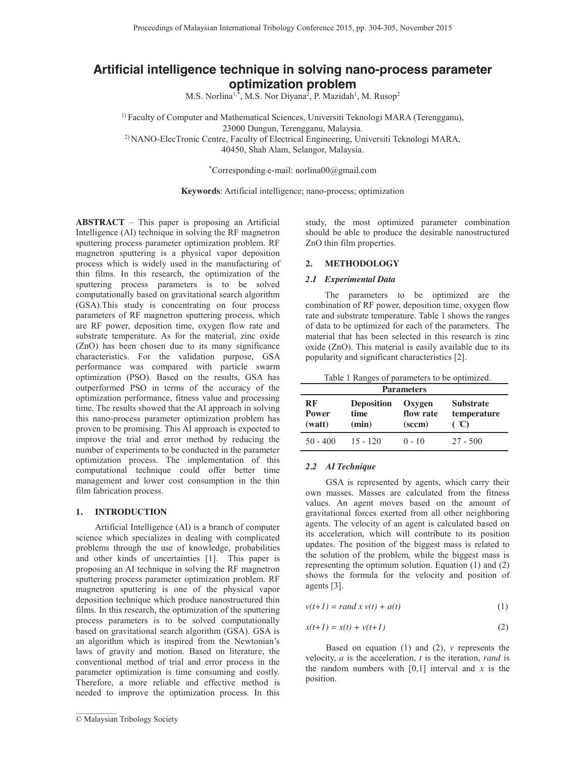# **Artificial intelligence technique in solving nano-process parameter optimization problem**

M.S. Norlina<sup>1,\*</sup>, M.S. Nor Diyana<sup>2</sup>, P. Mazidah<sup>1</sup>, M. Rusop<sup>2</sup>

1) Faculty of Computer and Mathematical Sciences, Universiti Teknologi MARA (Terengganu), 23000 Dungun, Terengganu, Malaysia.

2) NANO-ElecTronic Centre, Faculty of Electrical Engineering, Universiti Teknologi MARA, 40450, Shah Alam, Selangor, Malaysia.

\*Corresponding e-mail: norlina00@gmail.com

**Keywords**: Artificial intelligence; nano-process; optimization

**ABSTRACT** – This paper is proposing an Artificial Intelligence (AI) technique in solving the RF magnetron sputtering process parameter optimization problem. RF magnetron sputtering is a physical vapor deposition process which is widely used in the manufacturing of thin films. In this research, the optimization of the sputtering process parameters is to be solved computationally based on gravitational search algorithm (GSA).This study is concentrating on four process parameters of RF magnetron sputtering process, which are RF power, deposition time, oxygen flow rate and substrate temperature. As for the material, zinc oxide (ZnO) has been chosen due to its many significance characteristics. For the validation purpose, GSA performance was compared with particle swarm optimization (PSO). Based on the results, GSA has outperformed PSO in terms of the accuracy of the optimization performance, fitness value and processing time. The results showed that the AI approach in solving this nano-process parameter optimization problem has proven to be promising. This AI approach is expected to improve the trial and error method by reducing the number of experiments to be conducted in the parameter optimization process. The implementation of this computational technique could offer better time management and lower cost consumption in the thin film fabrication process.

#### **1. INTRODUCTION**

 Artificial Intelligence (AI) is a branch of computer science which specializes in dealing with complicated problems through the use of knowledge, probabilities and other kinds of uncertainties [1]. This paper is proposing an AI technique in solving the RF magnetron sputtering process parameter optimization problem. RF magnetron sputtering is one of the physical vapor deposition technique which produce nanostructured thin films. In this research, the optimization of the sputtering process parameters is to be solved computationally based on gravitational search algorithm (GSA). GSA is an algorithm which is inspired from the Newtonian's laws of gravity and motion. Based on literature, the conventional method of trial and error process in the parameter optimization is time consuming and costly. Therefore, a more reliable and effective method is needed to improve the optimization process. In this

 $\frac{1}{2}$ 

study, the most optimized parameter combination should be able to produce the desirable nanostructured ZnO thin film properties.

## **2. METHODOLOGY**

#### *2.1 Experimental Data*

 The parameters to be optimized are the combination of RF power, deposition time, oxygen flow rate and substrate temperature. Table 1 shows the ranges of data to be optimized for each of the parameters. The material that has been selected in this research is zinc oxide (ZnO). This material is easily available due to its popularity and significant characteristics [2].

| <b>Parameters</b>            |                                    |                                                   |                                                  |  |  |
|------------------------------|------------------------------------|---------------------------------------------------|--------------------------------------------------|--|--|
| RF<br><b>Power</b><br>(watt) | <b>Deposition</b><br>time<br>(min) | Oxygen<br>flow rate<br>$(\mathrm{sc}\mathbf{cm})$ | <b>Substrate</b><br>temperature<br>$\mathcal{C}$ |  |  |
| $50 - 400$                   | $15 - 120$                         | $0 - 10$                                          | $27 - 500$                                       |  |  |

#### *2.2 AI Technique*

GSA is represented by agents, which carry their own masses. Masses are calculated from the fitness values. An agent moves based on the amount of gravitational forces exerted from all other neighboring agents. The velocity of an agent is calculated based on its acceleration, which will contribute to its position updates. The position of the biggest mass is related to the solution of the problem, while the biggest mass is representing the optimum solution. Equation (1) and (2) shows the formula for the velocity and position of agents [3].

$$
v(t+1) = rand \ x \ v(t) + a(t) \tag{1}
$$

$$
x(t+1) = x(t) + v(t+1)
$$
\n<sup>(2)</sup>

Based on equation (1) and (2), *v* represents the velocity, *a* is the acceleration, *t* is the iteration, *rand* is the random numbers with  $[0,1]$  interval and x is the position.